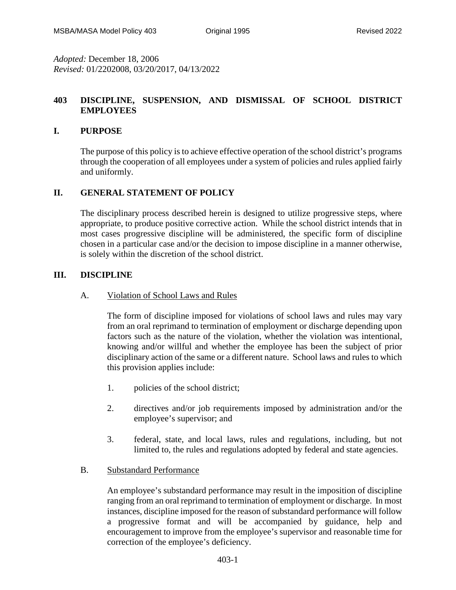*Adopted:* December 18, 2006 *Revised:* 01/2202008, 03/20/2017, 04/13/2022

# **403 DISCIPLINE, SUSPENSION, AND DISMISSAL OF SCHOOL DISTRICT EMPLOYEES**

### **I. PURPOSE**

The purpose of this policy is to achieve effective operation of the school district's programs through the cooperation of all employees under a system of policies and rules applied fairly and uniformly.

# **II. GENERAL STATEMENT OF POLICY**

The disciplinary process described herein is designed to utilize progressive steps, where appropriate, to produce positive corrective action. While the school district intends that in most cases progressive discipline will be administered, the specific form of discipline chosen in a particular case and/or the decision to impose discipline in a manner otherwise, is solely within the discretion of the school district.

## **III. DISCIPLINE**

#### A. Violation of School Laws and Rules

The form of discipline imposed for violations of school laws and rules may vary from an oral reprimand to termination of employment or discharge depending upon factors such as the nature of the violation, whether the violation was intentional, knowing and/or willful and whether the employee has been the subject of prior disciplinary action of the same or a different nature. School laws and rules to which this provision applies include:

- 1. policies of the school district;
- 2. directives and/or job requirements imposed by administration and/or the employee's supervisor; and
- 3. federal, state, and local laws, rules and regulations, including, but not limited to, the rules and regulations adopted by federal and state agencies.

#### B. Substandard Performance

An employee's substandard performance may result in the imposition of discipline ranging from an oral reprimand to termination of employment or discharge. In most instances, discipline imposed for the reason of substandard performance will follow a progressive format and will be accompanied by guidance, help and encouragement to improve from the employee's supervisor and reasonable time for correction of the employee's deficiency.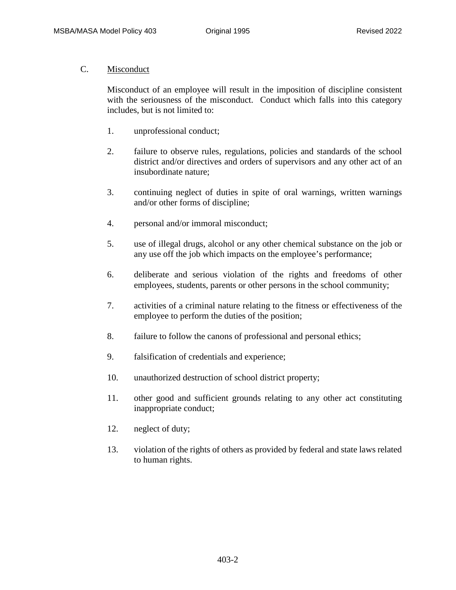#### C. Misconduct

Misconduct of an employee will result in the imposition of discipline consistent with the seriousness of the misconduct. Conduct which falls into this category includes, but is not limited to:

- 1. unprofessional conduct;
- 2. failure to observe rules, regulations, policies and standards of the school district and/or directives and orders of supervisors and any other act of an insubordinate nature;
- 3. continuing neglect of duties in spite of oral warnings, written warnings and/or other forms of discipline;
- 4. personal and/or immoral misconduct;
- 5. use of illegal drugs, alcohol or any other chemical substance on the job or any use off the job which impacts on the employee's performance;
- 6. deliberate and serious violation of the rights and freedoms of other employees, students, parents or other persons in the school community;
- 7. activities of a criminal nature relating to the fitness or effectiveness of the employee to perform the duties of the position;
- 8. failure to follow the canons of professional and personal ethics;
- 9. falsification of credentials and experience;
- 10. unauthorized destruction of school district property;
- 11. other good and sufficient grounds relating to any other act constituting inappropriate conduct;
- 12. neglect of duty;
- 13. violation of the rights of others as provided by federal and state laws related to human rights.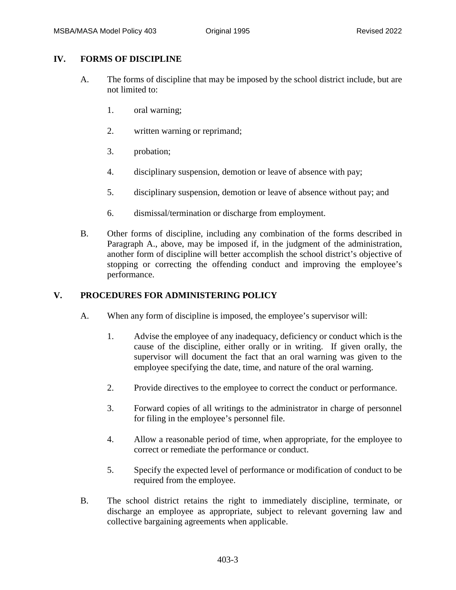#### **IV. FORMS OF DISCIPLINE**

- A. The forms of discipline that may be imposed by the school district include, but are not limited to:
	- 1. oral warning;
	- 2. written warning or reprimand;
	- 3. probation;
	- 4. disciplinary suspension, demotion or leave of absence with pay;
	- 5. disciplinary suspension, demotion or leave of absence without pay; and
	- 6. dismissal/termination or discharge from employment.
- B. Other forms of discipline, including any combination of the forms described in Paragraph A., above, may be imposed if, in the judgment of the administration, another form of discipline will better accomplish the school district's objective of stopping or correcting the offending conduct and improving the employee's performance.

### **V. PROCEDURES FOR ADMINISTERING POLICY**

- A. When any form of discipline is imposed, the employee's supervisor will:
	- 1. Advise the employee of any inadequacy, deficiency or conduct which is the cause of the discipline, either orally or in writing. If given orally, the supervisor will document the fact that an oral warning was given to the employee specifying the date, time, and nature of the oral warning.
	- 2. Provide directives to the employee to correct the conduct or performance.
	- 3. Forward copies of all writings to the administrator in charge of personnel for filing in the employee's personnel file.
	- 4. Allow a reasonable period of time, when appropriate, for the employee to correct or remediate the performance or conduct.
	- 5. Specify the expected level of performance or modification of conduct to be required from the employee.
- B. The school district retains the right to immediately discipline, terminate, or discharge an employee as appropriate, subject to relevant governing law and collective bargaining agreements when applicable.